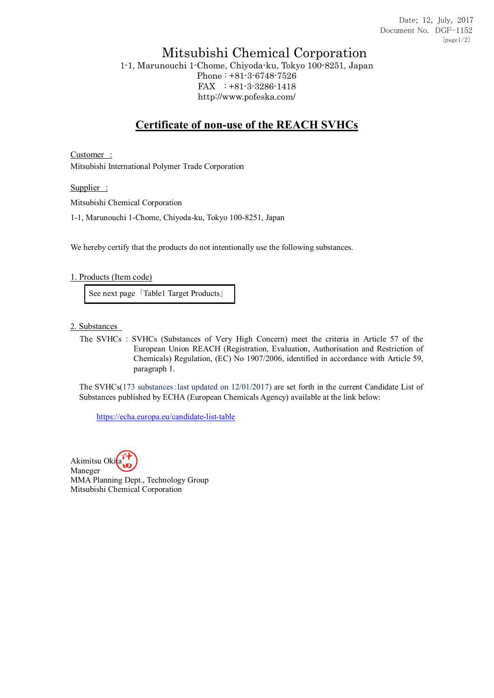## Mitsubishi Chemical Corporation

1-1, Marunouchi 1-Chome, Chiyoda-ku, Tokyo 100-8251, Japan Phone : +81-3-6748-7526 FAX : +81-3-3286-1418 http://www.pofeska.com/

## **Certificate of non-use of the REACH SVHCs**

Customer : Mitsubishi International Polymer Trade Corporation

Supplier :

Mitsubishi Chemical Corporation

1-1, Marunouchi 1-Chome, Chiyoda-ku, Tokyo 100-8251, Japan

We hereby certify that the products do not intentionally use the following substances.

## 1. Products (Item code)

See next page 「Table1 Target Products」

2. Substances

The SVHCs : SVHCs (Substances of Very High Concern) meet the criteria in Article 57 of the European Union REACH (Registration, Evaluation, Authorisation and Restriction of Chemicals) Regulation, (EC) No 1907/2006, identified in accordance with Article 59, paragraph 1.

The SVHCs(173 substances:last updated on 12/01/2017) are set forth in the current Candidate List of Substances published by ECHA (European Chemicals Agency) available at the link below:

https://echa.europa.eu/candidate-list-table

Akimitsu Okita Maneger MMA Planning Dept., Technology Group Mitsubishi Chemical Corporation 沖 田